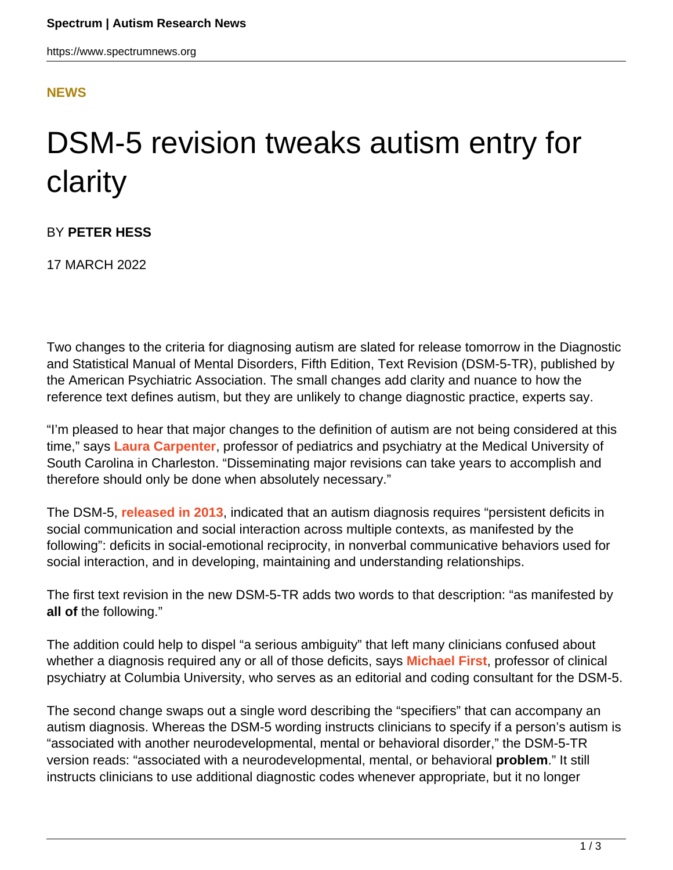## **[NEWS](HTTPS://WWW.SPECTRUMNEWS.ORG/NEWS/)**

## DSM-5 revision tweaks autism entry for clarity

BY **PETER HESS**

17 MARCH 2022

Two changes to the criteria for diagnosing autism are slated for release tomorrow in the Diagnostic and Statistical Manual of Mental Disorders, Fifth Edition, Text Revision (DSM-5-TR), published by the American Psychiatric Association. The small changes add clarity and nuance to how the reference text defines autism, but they are unlikely to change diagnostic practice, experts say.

"I'm pleased to hear that major changes to the definition of autism are not being considered at this time," says **[Laura Carpenter](http://academicdepartments.musc.edu/facultydirectory/Carpenter-Laura)**, professor of pediatrics and psychiatry at the Medical University of South Carolina in Charleston. "Disseminating major revisions can take years to accomplish and therefore should only be done when absolutely necessary."

The DSM-5, **[released in 2013](https://www.spectrumnews.org/features/legacy-special-reports/special-report-dsm-5/)**, indicated that an autism diagnosis requires "persistent deficits in social communication and social interaction across multiple contexts, as manifested by the following": deficits in social-emotional reciprocity, in nonverbal communicative behaviors used for social interaction, and in developing, maintaining and understanding relationships.

The first text revision in the new DSM-5-TR adds two words to that description: "as manifested by **all of** the following."

The addition could help to dispel "a serious ambiguity" that left many clinicians confused about whether a diagnosis required any or all of those deficits, says **[Michael First](https://www.columbiapsychiatry.org/profile/michael-b-first-md)**, professor of clinical psychiatry at Columbia University, who serves as an editorial and coding consultant for the DSM-5.

The second change swaps out a single word describing the "specifiers" that can accompany an autism diagnosis. Whereas the DSM-5 wording instructs clinicians to specify if a person's autism is "associated with another neurodevelopmental, mental or behavioral disorder," the DSM-5-TR version reads: "associated with a neurodevelopmental, mental, or behavioral **problem**." It still instructs clinicians to use additional diagnostic codes whenever appropriate, but it no longer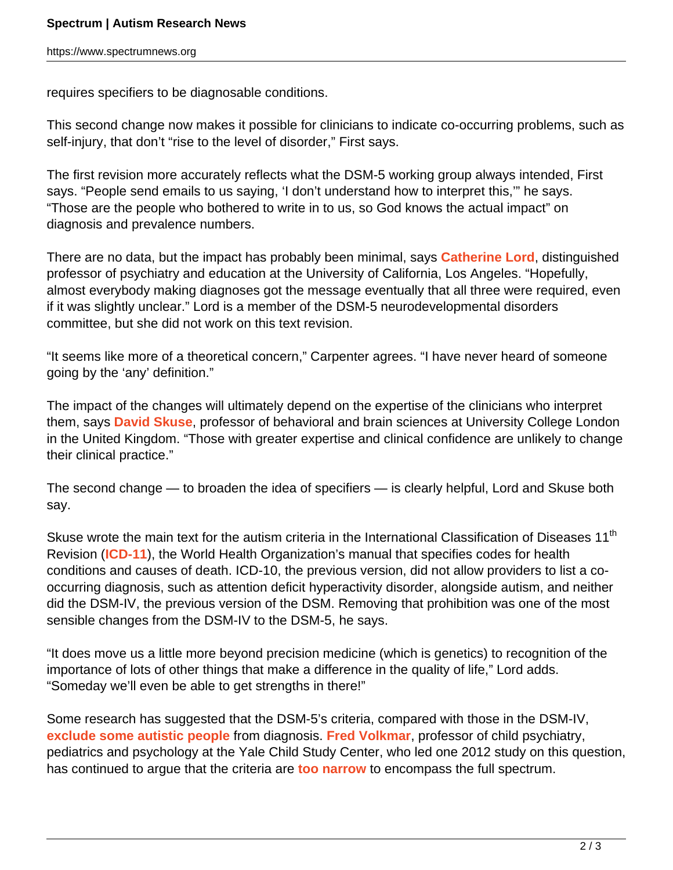requires specifiers to be diagnosable conditions.

This second change now makes it possible for clinicians to indicate co-occurring problems, such as self-injury, that don't "rise to the level of disorder," First says.

The first revision more accurately reflects what the DSM-5 working group always intended, First says. "People send emails to us saying, 'I don't understand how to interpret this,'" he says. "Those are the people who bothered to write in to us, so God knows the actual impact" on diagnosis and prevalence numbers.

There are no data, but the impact has probably been minimal, says **[Catherine Lord](https://www.spectrumnews.org/news/profiles/cathy-lord-setting-standards-for-autism-diagnosis/)**, distinguished professor of psychiatry and education at the University of California, Los Angeles. "Hopefully, almost everybody making diagnoses got the message eventually that all three were required, even if it was slightly unclear." Lord is a member of the DSM-5 neurodevelopmental disorders committee, but she did not work on this text revision.

"It seems like more of a theoretical concern," Carpenter agrees. "I have never heard of someone going by the 'any' definition."

The impact of the changes will ultimately depend on the expertise of the clinicians who interpret them, says **[David Skuse](https://www.spectrumnews.org/author/davidskuse/)**, professor of behavioral and brain sciences at University College London in the United Kingdom. "Those with greater expertise and clinical confidence are unlikely to change their clinical practice."

The second change — to broaden the idea of specifiers — is clearly helpful, Lord and Skuse both say.

Skuse wrote the main text for the autism criteria in the International Classification of Diseases 11<sup>th</sup> Revision (**[ICD-11](https://icd.who.int/en)**), the World Health Organization's manual that specifies codes for health conditions and causes of death. ICD-10, the previous version, did not allow providers to list a cooccurring diagnosis, such as attention deficit hyperactivity disorder, alongside autism, and neither did the DSM-IV, the previous version of the DSM. Removing that prohibition was one of the most sensible changes from the DSM-IV to the DSM-5, he says.

"It does move us a little more beyond precision medicine (which is genetics) to recognition of the importance of lots of other things that make a difference in the quality of life," Lord adds. "Someday we'll even be able to get strengths in there!"

Some research has suggested that the DSM-5's criteria, compared with those in the DSM-IV, **[exclude some autistic people](https://www.spectrumnews.org/news/analysis-of-new-diagnostic-criteria-for-autism-sparks-debate/)** from diagnosis. **[Fred Volkmar](https://www.spectrumnews.org/author/fredvolkmar/)**, professor of child psychiatry, pediatrics and psychology at the Yale Child Study Center, who led one 2012 study on this question, has continued to argue that the criteria are **[too narrow](https://www.spectrumnews.org/opinion/viewpoint/narrowing-autism-dsm-5-runs-counter-idea-broad-spectrum/)** to encompass the full spectrum.